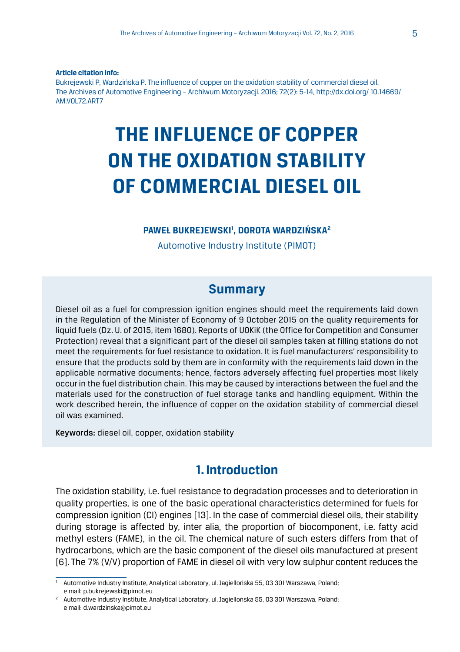**Article citation info:**

Bukrejewski P, Wardzińska P. The influence of copper on the oxidation stability of commercial diesel oil. The Archives of Automotive Engineering – Archiwum Motoryzacji. 2016; 72(2): 5-14, http://dx.doi.org/ 10.14669/ AM.VOL72.ART7

# **THE INFLUENCE OF COPPER ON THE OXIDATION STABILITY OF COMMERCIAL DIESEL OIL**

#### **PAWEŁ BUKREJEWSKI1 , DOROTA WARDZIŃSKA2**

Automotive Industry Institute (PIMOT)

## **Summary**

Diesel oil as a fuel for compression ignition engines should meet the requirements laid down in the Regulation of the Minister of Economy of 9 October 2015 on the quality requirements for liquid fuels (Dz. U. of 2015, item 1680). Reports of UOKiK (the Office for Competition and Consumer Protection) reveal that a significant part of the diesel oil samples taken at filling stations do not meet the requirements for fuel resistance to oxidation. It is fuel manufacturers' responsibility to ensure that the products sold by them are in conformity with the requirements laid down in the applicable normative documents; hence, factors adversely affecting fuel properties most likely occur in the fuel distribution chain. This may be caused by interactions between the fuel and the materials used for the construction of fuel storage tanks and handling equipment. Within the work described herein, the influence of copper on the oxidation stability of commercial diesel oil was examined.

Keywords: diesel oil, copper, oxidation stability

## **1. Introduction**

The oxidation stability, i.e. fuel resistance to degradation processes and to deterioration in quality properties, is one of the basic operational characteristics determined for fuels for compression ignition (CI) engines [13]. In the case of commercial diesel oils, their stability during storage is affected by, inter alia, the proportion of biocomponent, i.e. fatty acid methyl esters (FAME), in the oil. The chemical nature of such esters differs from that of hydrocarbons, which are the basic component of the diesel oils manufactured at present [6]. The 7% (V/V) proportion of FAME in diesel oil with very low sulphur content reduces the

<sup>1</sup> Automotive Industry Institute, Analytical Laboratory, ul. Jagiellońska 55, 03 301 Warszawa, Poland; e mail: p.bukrejewski@pimot.eu

<sup>2</sup> Automotive Industry Institute, Analytical Laboratory, ul. Jagiellońska 55, 03 301 Warszawa, Poland; e mail: d.wardzinska@pimot.eu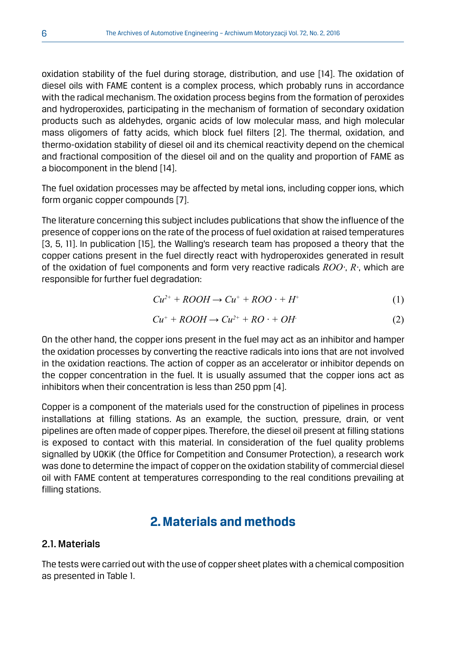oxidation stability of the fuel during storage, distribution, and use [14]. The oxidation of diesel oils with FAME content is a complex process, which probably runs in accordance with the radical mechanism. The oxidation process begins from the formation of peroxides and hydroperoxides, participating in the mechanism of formation of secondary oxidation products such as aldehydes, organic acids of low molecular mass, and high molecular mass oligomers of fatty acids, which block fuel filters [2]. The thermal, oxidation, and thermo-oxidation stability of diesel oil and its chemical reactivity depend on the chemical and fractional composition of the diesel oil and on the quality and proportion of FAME as a biocomponent in the blend [14].

The fuel oxidation processes may be affected by metal ions, including copper ions, which form organic copper compounds [7].

The literature concerning this subject includes publications that show the influence of the presence of copper ions on the rate of the process of fuel oxidation at raised temperatures [3, 5, 11]. In publication [15], the Walling's research team has proposed a theory that the copper cations present in the fuel directly react with hydroperoxides generated in result of the oxidation of fuel components and form very reactive radicals *ROO·*, *R·*, which are responsible for further fuel degradation:

$$
Cu^{2+} + ROOH \rightarrow Cu^{+} + ROO \cdot + H^{+}
$$
 (1)

$$
Cu^{+} + ROOH \rightarrow Cu^{2+} + RO \cdot + OH
$$
 (2)

On the other hand, the copper ions present in the fuel may act as an inhibitor and hamper the oxidation processes by converting the reactive radicals into ions that are not involved in the oxidation reactions. The action of copper as an accelerator or inhibitor depends on the copper concentration in the fuel. It is usually assumed that the copper ions act as inhibitors when their concentration is less than 250 ppm [4].

Copper is a component of the materials used for the construction of pipelines in process installations at filling stations. As an example, the suction, pressure, drain, or vent pipelines are often made of copper pipes. Therefore, the diesel oil present at filling stations is exposed to contact with this material. In consideration of the fuel quality problems signalled by UOKiK (the Office for Competition and Consumer Protection), a research work was done to determine the impact of copper on the oxidation stability of commercial diesel oil with FAME content at temperatures corresponding to the real conditions prevailing at filling stations.

# **2. Materials and methods**

## 2.1. Materials

The tests were carried out with the use of copper sheet plates with a chemical composition as presented in Table 1.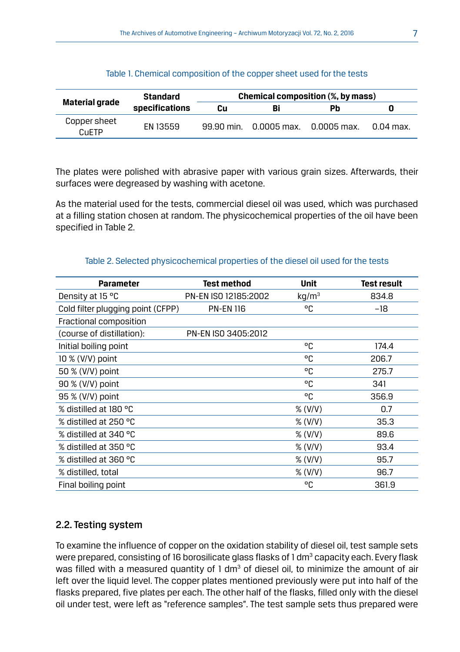|                       | Standard       | Chemical composition (%, by mass) |                          |    |             |
|-----------------------|----------------|-----------------------------------|--------------------------|----|-------------|
| Material grade        | specifications | Cu                                | Bi                       | Pb |             |
| Copper sheet<br>CuETP | FN 13559       | 99.90 min.                        | 0.0005 max.  0.0005 max. |    | $0.04$ max. |

Table 1. Chemical composition of the copper sheet used for the tests

The plates were polished with abrasive paper with various grain sizes. Afterwards, their surfaces were degreased by washing with acetone.

As the material used for the tests, commercial diesel oil was used, which was purchased at a filling station chosen at random. The physicochemical properties of the oil have been specified in Table 2.

#### Table 2. Selected physicochemical properties of the diesel oil used for the tests

| <b>Parameter</b>                  | Test method          | <b>Unit</b>       | <b>Test result</b> |
|-----------------------------------|----------------------|-------------------|--------------------|
| Density at 15 °C                  | PN-EN ISO 12185:2002 | kg/m <sup>3</sup> | 834.8              |
| Cold filter plugging point (CFPP) | <b>PN-EN 116</b>     | °C                | $-18$              |
| Fractional composition            |                      |                   |                    |
| (course of distillation):         | PN-EN ISO 3405:2012  |                   |                    |
| Initial boiling point             |                      | °C                | 174.4              |
| $10\%$ (V/V) point                |                      | °C                | 206.7              |
| 50 % (V/V) point                  |                      | °C                | 275.7              |
| 90 % (V/V) point                  |                      | °C                | 341                |
| 95 % (V/V) point                  |                      | °C                | 356.9              |
| % distilled at 180 °C             |                      | % (V/V)           | 0.7                |
| % distilled at 250 °C             |                      | % (V/V)           | 35.3               |
| % distilled at 340 °C             |                      | % (V/V)           | 89.6               |
| % distilled at 350 °C             |                      | % (V/V)           | 93.4               |
| % distilled at 360 °C             |                      | % (V/V)           | 95.7               |
| % distilled, total                |                      | % (V/V)           | 96.7               |
| Final boiling point               |                      | °C                | 361.9              |

## 2.2. Testing system

To examine the influence of copper on the oxidation stability of diesel oil, test sample sets were prepared, consisting of 16 borosilicate glass flasks of 1 dm $^3$  capacity each. Every flask was filled with a measured quantity of 1 dm<sup>3</sup> of diesel oil, to minimize the amount of air left over the liquid level. The copper plates mentioned previously were put into half of the flasks prepared, five plates per each. The other half of the flasks, filled only with the diesel oil under test, were left as "reference samples". The test sample sets thus prepared were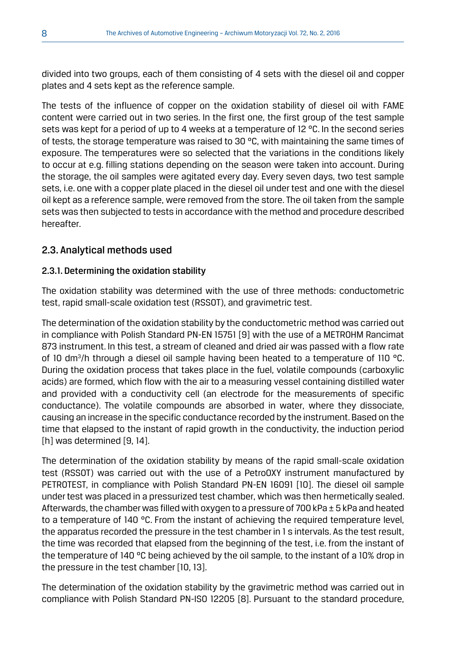divided into two groups, each of them consisting of 4 sets with the diesel oil and copper plates and 4 sets kept as the reference sample.

The tests of the influence of copper on the oxidation stability of diesel oil with FAME content were carried out in two series. In the first one, the first group of the test sample sets was kept for a period of up to 4 weeks at a temperature of 12 °C. In the second series of tests, the storage temperature was raised to 30  $^{\circ}$ C, with maintaining the same times of exposure. The temperatures were so selected that the variations in the conditions likely to occur at e.g. filling stations depending on the season were taken into account. During the storage, the oil samples were agitated every day. Every seven days, two test sample sets, i.e. one with a copper plate placed in the diesel oil under test and one with the diesel oil kept as a reference sample, were removed from the store. The oil taken from the sample sets was then subjected to tests in accordance with the method and procedure described hereafter.

## 2.3. Analytical methods used

## 2.3.1. Determining the oxidation stability

The oxidation stability was determined with the use of three methods: conductometric test, rapid small-scale oxidation test (RSSOT), and gravimetric test.

The determination of the oxidation stability by the conductometric method was carried out in compliance with Polish Standard PN-EN 15751 [9] with the use of a METROHM Rancimat 873 instrument. In this test, a stream of cleaned and dried air was passed with a flow rate of 10 dm<sup>3</sup>/h through a diesel oil sample having been heated to a temperature of 110 °C. During the oxidation process that takes place in the fuel, volatile compounds (carboxylic acids) are formed, which flow with the air to a measuring vessel containing distilled water and provided with a conductivity cell (an electrode for the measurements of specific conductance). The volatile compounds are absorbed in water, where they dissociate, causing an increase in the specific conductance recorded by the instrument. Based on the time that elapsed to the instant of rapid growth in the conductivity, the induction period [h] was determined [9, 14].

The determination of the oxidation stability by means of the rapid small-scale oxidation test (RSSOT) was carried out with the use of a PetroOXY instrument manufactured by PETROTEST, in compliance with Polish Standard PN-EN 16091 [10]. The diesel oil sample under test was placed in a pressurized test chamber, which was then hermetically sealed. Afterwards, the chamber was filled with oxygen to a pressure of 700 kPa  $\pm$  5 kPa and heated to a temperature of 140 °C. From the instant of achieving the required temperature level, the apparatus recorded the pressure in the test chamber in 1 s intervals. As the test result, the time was recorded that elapsed from the beginning of the test, i.e. from the instant of the temperature of 140 °C being achieved by the oil sample, to the instant of a 10% drop in the pressure in the test chamber [10, 13].

The determination of the oxidation stability by the gravimetric method was carried out in compliance with Polish Standard PN-ISO 12205 [8]. Pursuant to the standard procedure,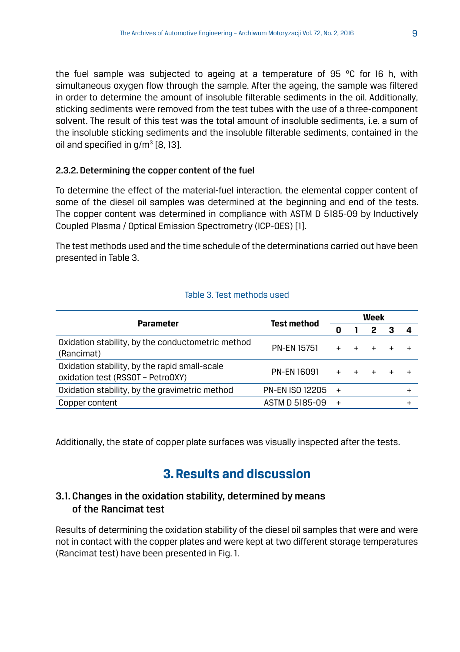the fuel sample was subjected to ageing at a temperature of 95 °C for 16 h, with simultaneous oxygen flow through the sample. After the ageing, the sample was filtered in order to determine the amount of insoluble filterable sediments in the oil. Additionally, sticking sediments were removed from the test tubes with the use of a three-component solvent. The result of this test was the total amount of insoluble sediments, i.e. a sum of the insoluble sticking sediments and the insoluble filterable sediments, contained in the oil and specified in g/m $^{\rm 3}$  [8, 13].

#### 2.3.2. Determining the copper content of the fuel

To determine the effect of the material-fuel interaction, the elemental copper content of some of the diesel oil samples was determined at the beginning and end of the tests. The copper content was determined in compliance with ASTM D 5185-09 by Inductively Coupled Plasma / Optical Emission Spectrometry (ICP-OES) [1].

The test methods used and the time schedule of the determinations carried out have been presented in Table 3.

#### Table 3. Test methods used

|                                                                                    | Test method            | Week           |  |   |  |  |
|------------------------------------------------------------------------------------|------------------------|----------------|--|---|--|--|
| <b>Parameter</b>                                                                   |                        | 0              |  | 2 |  |  |
| Oxidation stability, by the conductometric method<br>(Rancimat)                    | PN-EN 15751            | $+$            |  |   |  |  |
| Oxidation stability, by the rapid small-scale<br>oxidation test (RSSOT - PetroOXY) | PN-EN 16091            | $+$            |  |   |  |  |
| Oxidation stability, by the gravimetric method                                     | <b>PN-EN ISO 12205</b> | $\overline{+}$ |  |   |  |  |
| Copper content                                                                     | ASTM D 5185-09         | $+$            |  |   |  |  |

Additionally, the state of copper plate surfaces was visually inspected after the tests.

# **3. Results and discussion**

## 3.1. Changes in the oxidation stability, determined by means of the Rancimat test

Results of determining the oxidation stability of the diesel oil samples that were and were not in contact with the copper plates and were kept at two different storage temperatures (Rancimat test) have been presented in Fig. 1.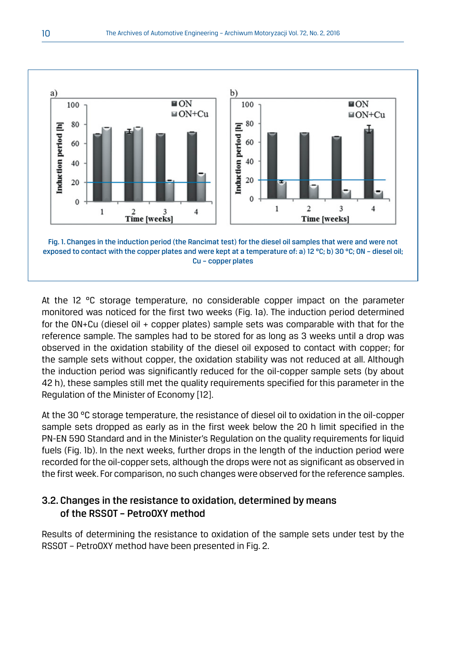

At the 12 °C storage temperature, no considerable copper impact on the parameter monitored was noticed for the first two weeks (Fig. 1a). The induction period determined for the ON+Cu (diesel oil + copper plates) sample sets was comparable with that for the reference sample. The samples had to be stored for as long as 3 weeks until a drop was observed in the oxidation stability of the diesel oil exposed to contact with copper; for the sample sets without copper, the oxidation stability was not reduced at all. Although the induction period was significantly reduced for the oil-copper sample sets (by about 42 h), these samples still met the quality requirements specified for this parameter in the Regulation of the Minister of Economy [12].

At the 30 °C storage temperature, the resistance of diesel oil to oxidation in the oil-copper sample sets dropped as early as in the first week below the 20 h limit specified in the PN-EN 590 Standard and in the Minister's Regulation on the quality requirements for liquid fuels (Fig. 1b). In the next weeks, further drops in the length of the induction period were recorded for the oil-copper sets, although the drops were not as significant as observed in the first week. For comparison, no such changes were observed for the reference samples.

## 3.2. Changes in the resistance to oxidation, determined by means of the RSSOT – PetroOXY method

Results of determining the resistance to oxidation of the sample sets under test by the RSSOT – PetroOXY method have been presented in Fig. 2.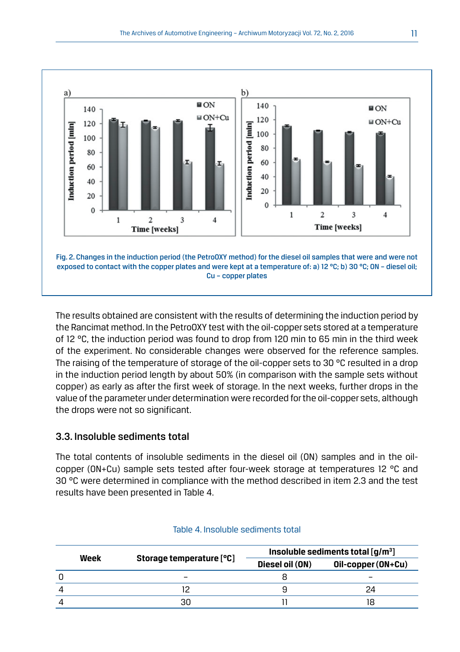

The results obtained are consistent with the results of determining the induction period by the Rancimat method. In the PetroOXY test with the oil-copper sets stored at a temperature of 12 °C, the induction period was found to drop from 120 min to 65 min in the third week of the experiment. No considerable changes were observed for the reference samples. The raising of the temperature of storage of the oil-copper sets to 30 °C resulted in a drop in the induction period length by about 50% (in comparison with the sample sets without copper) as early as after the first week of storage. In the next weeks, further drops in the value of the parameter under determination were recorded for the oil-copper sets, although the drops were not so significant.

## 3.3. Insoluble sediments total

The total contents of insoluble sediments in the diesel oil (ON) samples and in the oilcopper (ON+Cu) sample sets tested after four-week storage at temperatures 12 °C and 30 °C were determined in compliance with the method described in item 2.3 and the test results have been presented in Table 4.

|      | Storage temperature [°C] | Insoluble sediments total $\lceil q/m^3 \rceil$ |                    |  |
|------|--------------------------|-------------------------------------------------|--------------------|--|
| Week |                          | Diesel oil (ON)                                 | Oil-copper (ON+Cu) |  |
|      |                          |                                                 |                    |  |
|      |                          |                                                 | 24                 |  |
|      | 30                       |                                                 |                    |  |

#### Table 4. Insoluble sediments total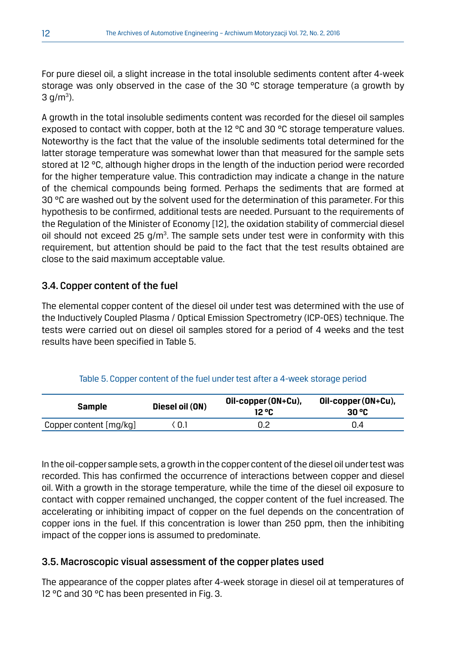For pure diesel oil, a slight increase in the total insoluble sediments content after 4-week storage was only observed in the case of the 30 °C storage temperature (a growth by  $3 \text{ g/m}^3$ ).

A growth in the total insoluble sediments content was recorded for the diesel oil samples exposed to contact with copper, both at the 12  $^{\circ}$ C and 30  $^{\circ}$ C storage temperature values. Noteworthy is the fact that the value of the insoluble sediments total determined for the latter storage temperature was somewhat lower than that measured for the sample sets stored at 12 °C, although higher drops in the length of the induction period were recorded for the higher temperature value. This contradiction may indicate a change in the nature of the chemical compounds being formed. Perhaps the sediments that are formed at 30 °C are washed out by the solvent used for the determination of this parameter. For this hypothesis to be confirmed, additional tests are needed. Pursuant to the requirements of the Regulation of the Minister of Economy [12], the oxidation stability of commercial diesel oil should not exceed 25 g/m<sup>3</sup>. The sample sets under test were in conformity with this requirement, but attention should be paid to the fact that the test results obtained are close to the said maximum acceptable value.

## 3.4. Copper content of the fuel

The elemental copper content of the diesel oil under test was determined with the use of the Inductively Coupled Plasma / Optical Emission Spectrometry (ICP-OES) technique. The tests were carried out on diesel oil samples stored for a period of 4 weeks and the test results have been specified in Table 5.

| <b>Sample</b> | Diesel oil (ON) | Oil-copper (ON+Cu),<br>12 °C | Oil-copper (ON+Cu),<br>30 °C |
|---------------|-----------------|------------------------------|------------------------------|

Copper content [mg/kg]  $\langle 0.1$  0.2 0.4

## Table 5. Copper content of the fuel under test after a 4-week storage period

In the oil-copper sample sets, a growth in the copper content of the diesel oil under test was recorded. This has confirmed the occurrence of interactions between copper and diesel oil. With a growth in the storage temperature, while the time of the diesel oil exposure to contact with copper remained unchanged, the copper content of the fuel increased. The accelerating or inhibiting impact of copper on the fuel depends on the concentration of copper ions in the fuel. If this concentration is lower than 250 ppm, then the inhibiting impact of the copper ions is assumed to predominate.

## 3.5. Macroscopic visual assessment of the copper plates used

The appearance of the copper plates after 4-week storage in diesel oil at temperatures of 12 °C and 30 °C has been presented in Fig. 3.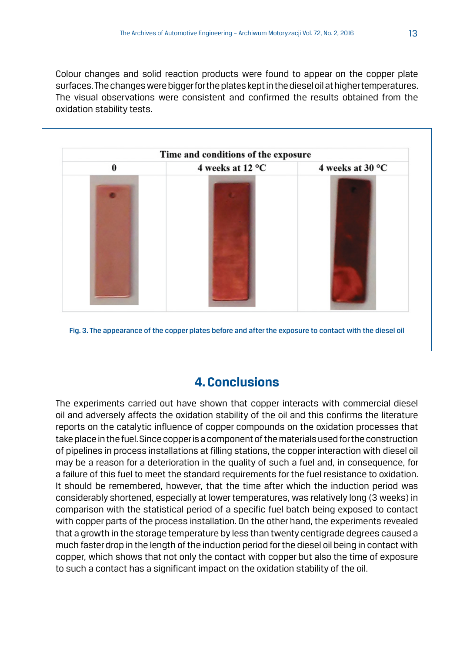Colour changes and solid reaction products were found to appear on the copper plate surfaces. The changes were bigger for the plates kept in the diesel oil at higher temperatures. The visual observations were consistent and confirmed the results obtained from the oxidation stability tests.



# **4. Conclusions**

The experiments carried out have shown that copper interacts with commercial diesel oil and adversely affects the oxidation stability of the oil and this confirms the literature reports on the catalytic influence of copper compounds on the oxidation processes that take place in the fuel. Since copper is a component of the materials used for the construction of pipelines in process installations at filling stations, the copper interaction with diesel oil may be a reason for a deterioration in the quality of such a fuel and, in consequence, for a failure of this fuel to meet the standard requirements for the fuel resistance to oxidation. It should be remembered, however, that the time after which the induction period was considerably shortened, especially at lower temperatures, was relatively long (3 weeks) in comparison with the statistical period of a specific fuel batch being exposed to contact with copper parts of the process installation. On the other hand, the experiments revealed that a growth in the storage temperature by less than twenty centigrade degrees caused a much faster drop in the length of the induction period for the diesel oil being in contact with copper, which shows that not only the contact with copper but also the time of exposure to such a contact has a significant impact on the oxidation stability of the oil.